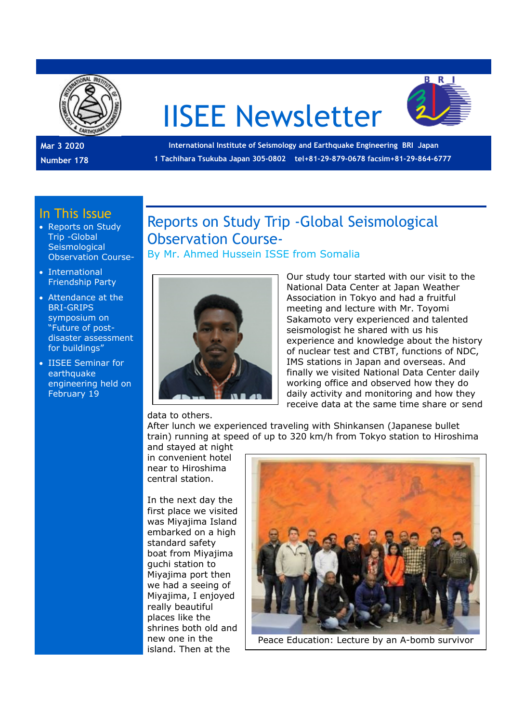

# IISEE Newsletter



**Mar 3 2020 Number 178** 

 **International Institute of Seismology and Earthquake Engineering BRI Japan 1 Tachihara Tsukuba Japan 305-0802 tel+81-29-879-0678 facsim+81-29-864-6777** 

### In This Issue

- Reports on Study Trip -Global **Seismological** Observation Course-
- International Friendship Party
- Attendance at the BRI-GRIPS symposium on "Future of postdisaster assessment for buildings"
- IISEE Seminar for earthquake engineering held on February 19

Reports on Study Trip -Global Seismological Observation Course-By Mr. Ahmed Hussein ISSE from Somalia



Our study tour started with our visit to the National Data Center at Japan Weather Association in Tokyo and had a fruitful meeting and lecture with Mr. Toyomi Sakamoto very experienced and talented seismologist he shared with us his experience and knowledge about the history of nuclear test and CTBT, functions of NDC, IMS stations in Japan and overseas. And finally we visited National Data Center daily working office and observed how they do daily activity and monitoring and how they receive data at the same time share or send

data to others.

After lunch we experienced traveling with Shinkansen (Japanese bullet train) running at speed of up to 320 km/h from Tokyo station to Hiroshima

and stayed at night in convenient hotel near to Hiroshima central station.

In the next day the first place we visited was Miyajima Island embarked on a high standard safety boat from Miyajima guchi station to Miyajima port then we had a seeing of Miyajima, I enjoyed really beautiful places like the shrines both old and new one in the island. Then at the



Peace Education: Lecture by an A-bomb survivor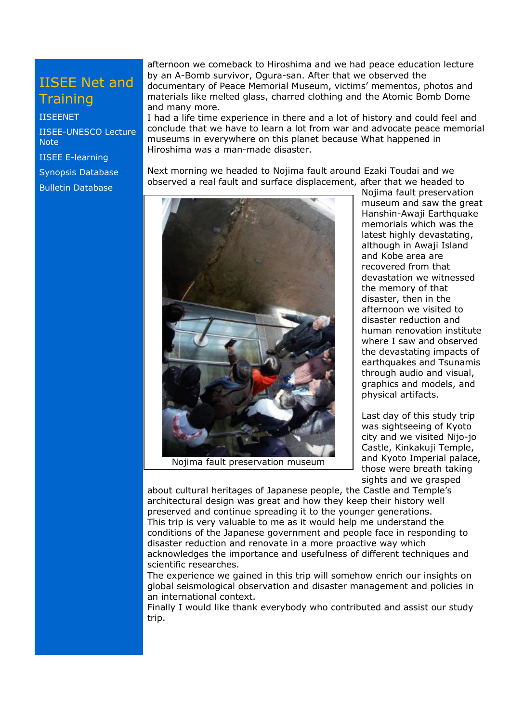## IISEE Net and **Training**

#### IISEENET

IISEE-UNESCO Lecture **Note** IISEE E-learning Synopsis Database

Bulletin Database

afternoon we comeback to Hiroshima and we had peace education lecture by an A-Bomb survivor, Ogura-san. After that we observed the documentary of Peace Memorial Museum, victims' mementos, photos and materials like melted glass, charred clothing and the Atomic Bomb Dome and many more.

I had a life time experience in there and a lot of history and could feel and conclude that we have to learn a lot from war and advocate peace memorial museums in everywhere on this planet because What happened in Hiroshima was a man-made disaster.

Next morning we headed to Nojima fault around Ezaki Toudai and we observed a real fault and surface displacement, after that we headed to



Nojima fault preservation museum

Nojima fault preservation museum and saw the great Hanshin-Awaji Earthquake memorials which was the latest highly devastating, although in Awaji Island and Kobe area are recovered from that devastation we witnessed the memory of that disaster, then in the afternoon we visited to disaster reduction and human renovation institute where I saw and observed the devastating impacts of earthquakes and Tsunamis through audio and visual, graphics and models, and physical artifacts.

Last day of this study trip was sightseeing of Kyoto city and we visited Nijo-jo Castle, Kinkakuji Temple, and Kyoto Imperial palace, those were breath taking sights and we grasped

about cultural heritages of Japanese people, the Castle and Temple's architectural design was great and how they keep their history well preserved and continue spreading it to the younger generations. This trip is very valuable to me as it would help me understand the conditions of the Japanese government and people face in responding to disaster reduction and renovate in a more proactive way which acknowledges the importance and usefulness of different techniques and scientific researches.

The experience we gained in this trip will somehow enrich our insights on global seismological observation and disaster management and policies in an international context.

Finally I would like thank everybody who contributed and assist our study trip.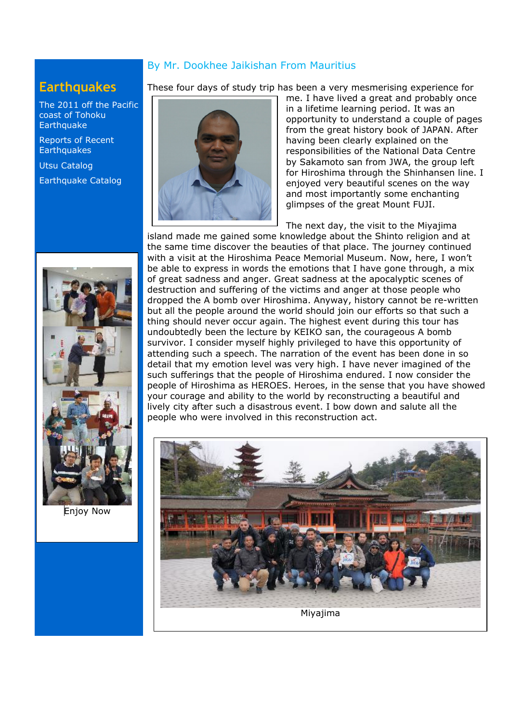#### By Mr. Dookhee Jaikishan From Mauritius

## **Earthquakes**

The 2011 off the Pacific coast of Tohoku **Earthquake** 

Reports of Recent **Earthquakes** 

Utsu Catalog

Earthquake Catalog



Enjoy Now

These four days of study trip has been a very mesmerising experience for



me. I have lived a great and probably once in a lifetime learning period. It was an opportunity to understand a couple of pages from the great history book of JAPAN. After having been clearly explained on the responsibilities of the National Data Centre by Sakamoto san from JWA, the group left for Hiroshima through the Shinhansen line. I enjoyed very beautiful scenes on the way and most importantly some enchanting glimpses of the great Mount FUJI.

The next day, the visit to the Miyajima island made me gained some knowledge about the Shinto religion and at the same time discover the beauties of that place. The journey continued with a visit at the Hiroshima Peace Memorial Museum. Now, here, I won't be able to express in words the emotions that I have gone through, a mix of great sadness and anger. Great sadness at the apocalyptic scenes of destruction and suffering of the victims and anger at those people who dropped the A bomb over Hiroshima. Anyway, history cannot be re-written but all the people around the world should join our efforts so that such a thing should never occur again. The highest event during this tour has undoubtedly been the lecture by KEIKO san, the courageous A bomb survivor. I consider myself highly privileged to have this opportunity of attending such a speech. The narration of the event has been done in so detail that my emotion level was very high. I have never imagined of the such sufferings that the people of Hiroshima endured. I now consider the people of Hiroshima as HEROES. Heroes, in the sense that you have showed your courage and ability to the world by reconstructing a beautiful and lively city after such a disastrous event. I bow down and salute all the people who were involved in this reconstruction act.

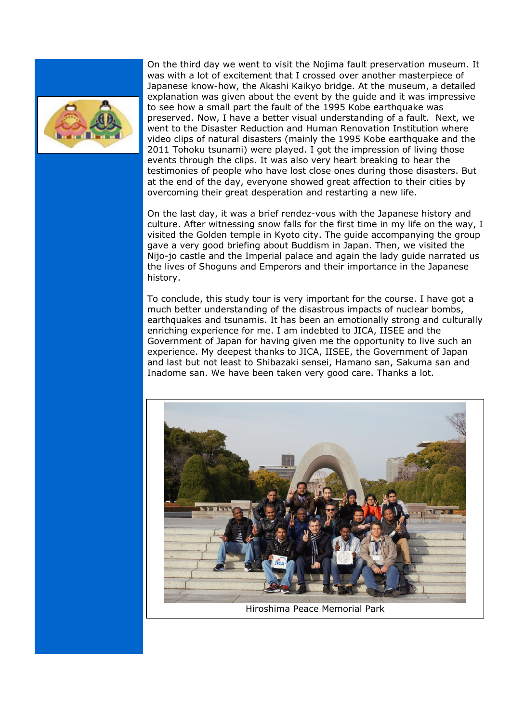

On the third day we went to visit the Nojima fault preservation museum. It was with a lot of excitement that I crossed over another masterpiece of Japanese know-how, the Akashi Kaikyo bridge. At the museum, a detailed explanation was given about the event by the guide and it was impressive to see how a small part the fault of the 1995 Kobe earthquake was preserved. Now, I have a better visual understanding of a fault. Next, we went to the Disaster Reduction and Human Renovation Institution where video clips of natural disasters (mainly the 1995 Kobe earthquake and the 2011 Tohoku tsunami) were played. I got the impression of living those events through the clips. It was also very heart breaking to hear the testimonies of people who have lost close ones during those disasters. But at the end of the day, everyone showed great affection to their cities by overcoming their great desperation and restarting a new life.

On the last day, it was a brief rendez-vous with the Japanese history and culture. After witnessing snow falls for the first time in my life on the way, I visited the Golden temple in Kyoto city. The guide accompanying the group gave a very good briefing about Buddism in Japan. Then, we visited the Nijo-jo castle and the Imperial palace and again the lady guide narrated us the lives of Shoguns and Emperors and their importance in the Japanese history.

To conclude, this study tour is very important for the course. I have got a much better understanding of the disastrous impacts of nuclear bombs, earthquakes and tsunamis. It has been an emotionally strong and culturally enriching experience for me. I am indebted to JICA, IISEE and the Government of Japan for having given me the opportunity to live such an experience. My deepest thanks to JICA, IISEE, the Government of Japan and last but not least to Shibazaki sensei, Hamano san, Sakuma san and Inadome san. We have been taken very good care. Thanks a lot.

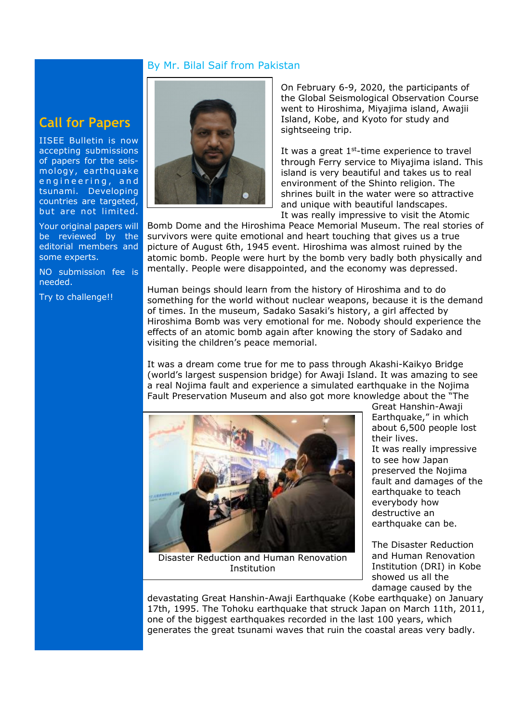#### By Mr. Bilal Saif from Pakistan

## **Call for Papers**

IISEE Bulletin is now accepting submissions of papers for the seismology , earthquake engineering, and tsunami. Developing countries are targeted, but are not limited.

Your original papers will be reviewed by the editorial members and some experts.

NO submission fee is needed.

Try to challenge!!



On February 6-9, 2020, the participants of the Global Seismological Observation Course went to Hiroshima, Miyajima island, Awajii Island, Kobe, and Kyoto for study and sightseeing trip.

It was a great  $1<sup>st</sup>$ -time experience to travel through Ferry service to Miyajima island. This island is very beautiful and takes us to real environment of the Shinto religion. The shrines built in the water were so attractive and unique with beautiful landscapes. It was really impressive to visit the Atomic

Bomb Dome and the Hiroshima Peace Memorial Museum. The real stories of survivors were quite emotional and heart touching that gives us a true picture of August 6th, 1945 event. Hiroshima was almost ruined by the atomic bomb. People were hurt by the bomb very badly both physically and mentally. People were disappointed, and the economy was depressed.

Human beings should learn from the history of Hiroshima and to do something for the world without nuclear weapons, because it is the demand of times. In the museum, Sadako Sasaki's history, a girl affected by Hiroshima Bomb was very emotional for me. Nobody should experience the effects of an atomic bomb again after knowing the story of Sadako and visiting the children's peace memorial.

It was a dream come true for me to pass through Akashi-Kaikyo Bridge (world's largest suspension bridge) for Awaji Island. It was amazing to see a real Nojima fault and experience a simulated earthquake in the Nojima Fault Preservation Museum and also got more knowledge about the "The



Disaster Reduction and Human Renovation Institution

Great Hanshin-Awaji Earthquake," in which about 6,500 people lost their lives. It was really impressive to see how Japan preserved the Nojima fault and damages of the earthquake to teach everybody how destructive an earthquake can be.

The Disaster Reduction and Human Renovation Institution (DRI) in Kobe showed us all the damage caused by the

devastating Great Hanshin-Awaji Earthquake (Kobe earthquake) on January 17th, 1995. The Tohoku earthquake that struck Japan on March 11th, 2011, one of the biggest earthquakes recorded in the last 100 years, which generates the great tsunami waves that ruin the coastal areas very badly.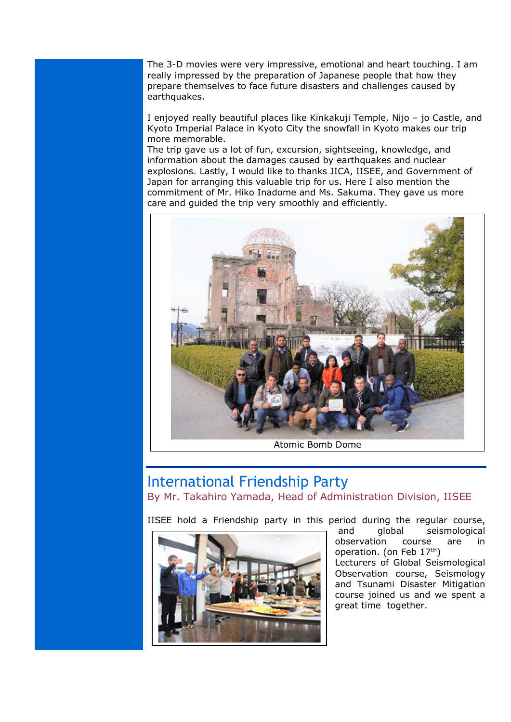The 3-D movies were very impressive, emotional and heart touching. I am really impressed by the preparation of Japanese people that how they prepare themselves to face future disasters and challenges caused by earthquakes.

I enjoyed really beautiful places like Kinkakuji Temple, Nijo – jo Castle, and Kyoto Imperial Palace in Kyoto City the snowfall in Kyoto makes our trip more memorable.

The trip gave us a lot of fun, excursion, sightseeing, knowledge, and information about the damages caused by earthquakes and nuclear explosions. Lastly, I would like to thanks JICA, IISEE, and Government of Japan for arranging this valuable trip for us. Here I also mention the commitment of Mr. Hiko Inadome and Ms. Sakuma. They gave us more care and guided the trip very smoothly and efficiently.



#### Atomic Bomb Dome

## International Friendship Party

By Mr. Takahiro Yamada, Head of Administration Division, IISEE

IISEE hold a Friendship party in this period during the regular course,



 and global seismological observation course are in operation. (on Feb 17<sup>th</sup>) Lecturers of Global Seismological Observation course, Seismology and Tsunami Disaster Mitigation course joined us and we spent a great time together.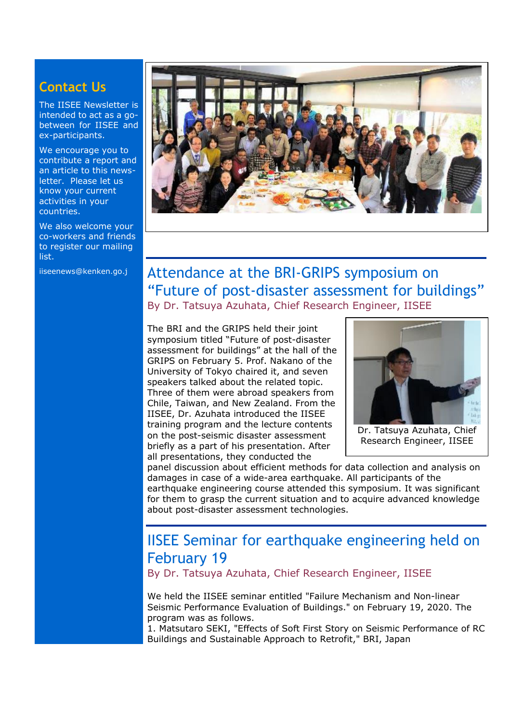## **Contact Us**

The IISEE Newsletter is intended to act as a gobetween for IISEE and ex-participants.

We encourage you to contribute a report and an article to this newsletter. Please let us know your current activities in your countries.

We also welcome your co-workers and friends to register our mailing list.



## iiseenews@kenken.go.j Attendance at the BRI-GRIPS symposium on "Future of post-disaster assessment for buildings" By Dr. Tatsuya Azuhata, Chief Research Engineer, IISEE

The BRI and the GRIPS held their joint symposium titled "Future of post-disaster assessment for buildings" at the hall of the GRIPS on February 5. Prof. Nakano of the University of Tokyo chaired it, and seven speakers talked about the related topic. Three of them were abroad speakers from Chile, Taiwan, and New Zealand. From the IISEE, Dr. Azuhata introduced the IISEE training program and the lecture contents on the post-seismic disaster assessment briefly as a part of his presentation. After all presentations, they conducted the



Dr. Tatsuya Azuhata, Chief Research Engineer, IISEE

panel discussion about efficient methods for data collection and analysis on damages in case of a wide-area earthquake. All participants of the earthquake engineering course attended this symposium. It was significant for them to grasp the current situation and to acquire advanced knowledge about post-disaster assessment technologies.

# IISEE Seminar for earthquake engineering held on February 19

By Dr. Tatsuya Azuhata, Chief Research Engineer, IISEE

We held the IISEE seminar entitled "Failure Mechanism and Non-linear Seismic Performance Evaluation of Buildings." on February 19, 2020. The program was as follows.

1. Matsutaro SEKI, "Effects of Soft First Story on Seismic Performance of RC Buildings and Sustainable Approach to Retrofit," BRI, Japan